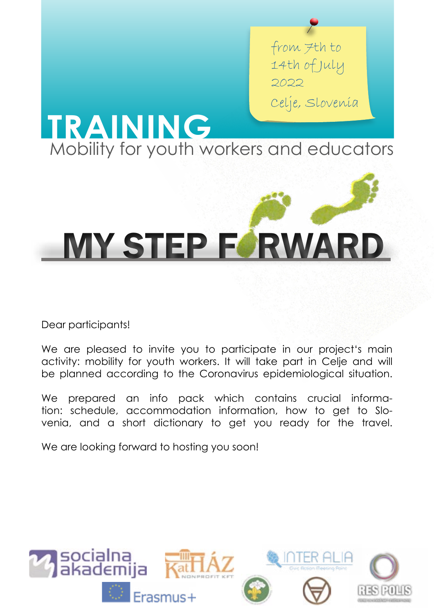from 7th to 14th of July 2022 Celje, Slovenia

**TRAINING** Mobility for youth workers and educators



Dear participants!

We are pleased to invite you to participate in our project's main activity: mobility for youth workers. It will take part in Celje and will be planned according to the Coronavirus epidemiological situation.

We prepared an info pack which contains crucial information: schedule, accommodation information, how to get to Slovenia, and a short dictionary to get you ready for the travel.

We are looking forward to hosting you soon!

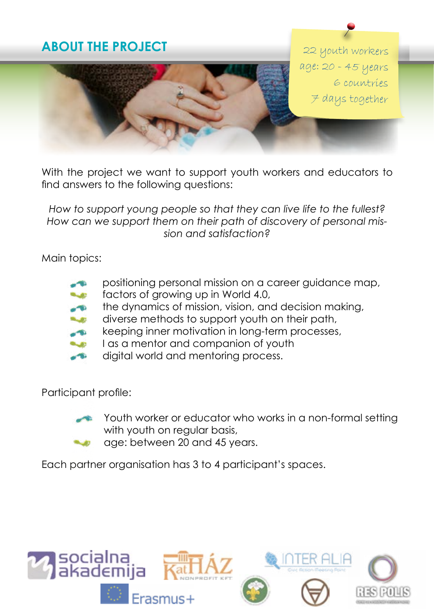# **ABOUT THE PROJECT**



22 youth workers age: 20 - 45 years 6 countries 7 days together

With the project we want to support youth workers and educators to find answers to the following questions:

*How to support young people so that they can live life to the fullest? How can we support them on their path of discovery of personal mission and satisfaction?*

Main topics:

- positioning personal mission on a career guidance map,
- factors of growing up in World 4.0,
- the dynamics of mission, vision, and decision making,
- diverse methods to support youth on their path,
- keeping inner motivation in long-term processes,
- I as a mentor and companion of youth
- digital world and mentoring process.

### Participant profile:



- Youth worker or educator who works in a non-formal setting with youth on regular basis,
- age: between 20 and 45 years.

Each partner organisation has 3 to 4 participant's spaces.

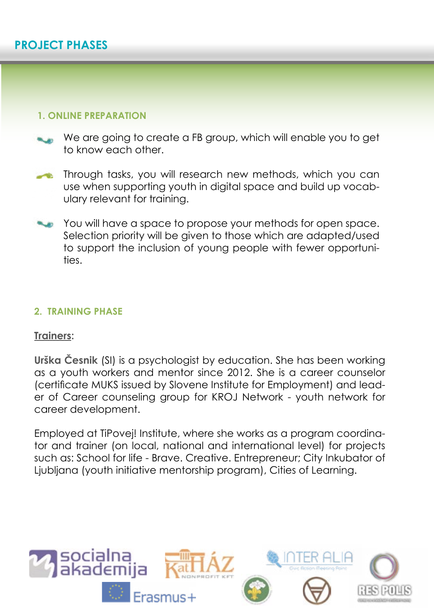# **PROJECT PHASES**

#### **1. ONLINE PREPARATION**

- We are going to create a FB group, which will enable you to get to know each other.
- Through tasks, you will research new methods, which you can use when supporting youth in digital space and build up vocabulary relevant for training.
- You will have a space to propose your methods for open space. Selection priority will be given to those which are adapted/used to support the inclusion of young people with fewer opportunities.

#### **2. TRAINING PHASE**

#### **Trainers:**

**Urška Česnik** (SI) is a psychologist by education. She has been working as a youth workers and mentor since 2012. She is a career counselor (certificate MUKS issued by Slovene Institute for Employment) and leader of Career counseling group for KROJ Network - youth network for career development.

Employed at TiPovej! Institute, where she works as a program coordinator and trainer (on local, national and international level) for projects such as: School for life - Brave. Creative. Entrepreneur; City Inkubator of Ljubljana (youth initiative mentorship program), Cities of Learning.

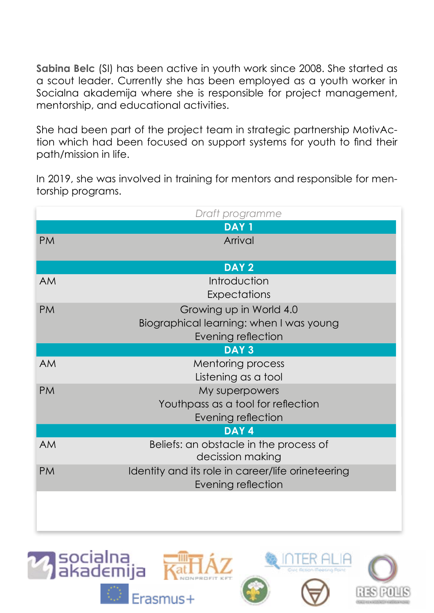**Sabina Belc** (SI) has been active in youth work since 2008. She started as a scout leader. Currently she has been employed as a youth worker in Socialna akademija where she is responsible for project management, mentorship, and educational activities.

She had been part of the project team in strategic partnership MotivAction which had been focused on support systems for youth to find their path/mission in life.

In 2019, she was involved in training for mentors and responsible for mentorship programs.

|           | Draft programme                                   |
|-----------|---------------------------------------------------|
|           | DAY <sub>1</sub>                                  |
| <b>PM</b> | Arrival                                           |
|           |                                                   |
|           | DAY <sub>2</sub>                                  |
| <b>AM</b> | Introduction                                      |
|           | Expectations                                      |
| <b>PM</b> | Growing up in World 4.0                           |
|           | Biographical learning: when I was young           |
|           | Evening reflection                                |
|           | DAY <sub>3</sub>                                  |
| <b>AM</b> | <b>Mentoring process</b>                          |
|           | Listening as a tool                               |
| <b>PM</b> | My superpowers                                    |
|           | Youthpass as a tool for reflection                |
|           | Evening reflection                                |
|           | DAY 4                                             |
| <b>AM</b> | Beliefs: an obstacle in the process of            |
|           | decission making                                  |
| <b>PM</b> | Identity and its role in career/life orineteering |
|           | Evening reflection                                |
|           |                                                   |
|           |                                                   |
|           |                                                   |

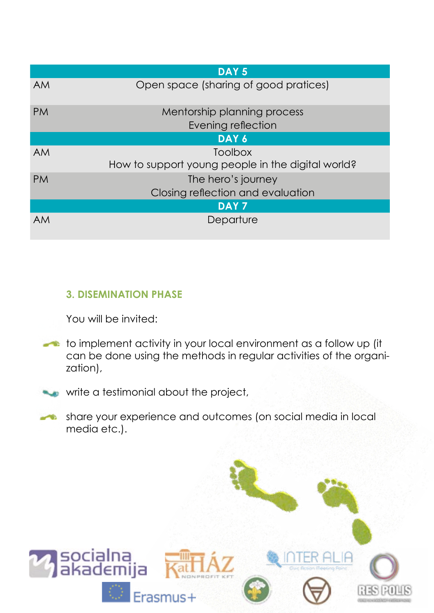|           | DAY <sub>5</sub>                                             |
|-----------|--------------------------------------------------------------|
| <b>AM</b> | Open space (sharing of good pratices)                        |
| <b>PM</b> | Mentorship planning process<br>Evening reflection            |
|           | DAY 6                                                        |
| <b>AM</b> | Toolbox<br>How to support young people in the digital world? |
| <b>PM</b> | The hero's journey<br>Closing reflection and evaluation      |
|           | DAY <sub>7</sub>                                             |
| <b>AM</b> | Departure                                                    |

## **3. DISEMINATION PHASE**

You will be invited:

- to implement activity in your local environment as a follow up (it can be done using the methods in regular activities of the organization),
- 

write a testimonial about the project,

share your experience and outcomes (on social media in local ÷ media etc.).

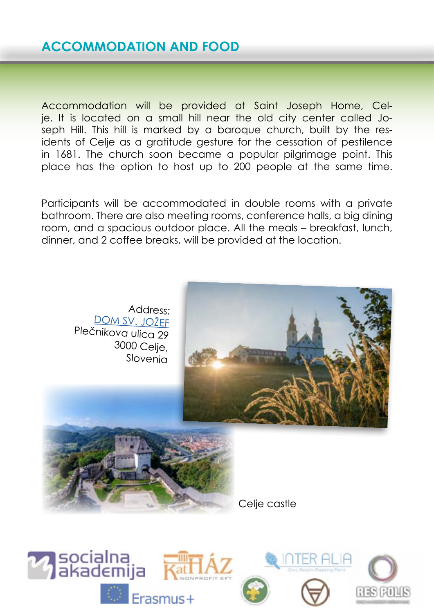Accommodation will be provided at Saint Joseph Home, Celje. It is located on a small hill near the old city center called Joseph Hill. This hill is marked by a baroque church, built by the residents of Celje as a gratitude gesture for the cessation of pestilence in 1681. The church soon became a popular pilgrimage point. This place has the option to host up to 200 people at the same time.

Participants will be accommodated in double rooms with a private bathroom. There are also meeting rooms, conference halls, a big dining room, and a spacious outdoor place. All the meals – breakfast, lunch, dinner, and 2 coffee breaks, will be provided at the location.

Address: [DOM SV. JOŽEF](https://www.jozef.si/) Plečnikova ulica 29 3000 Celje, Slovenia







Celje castle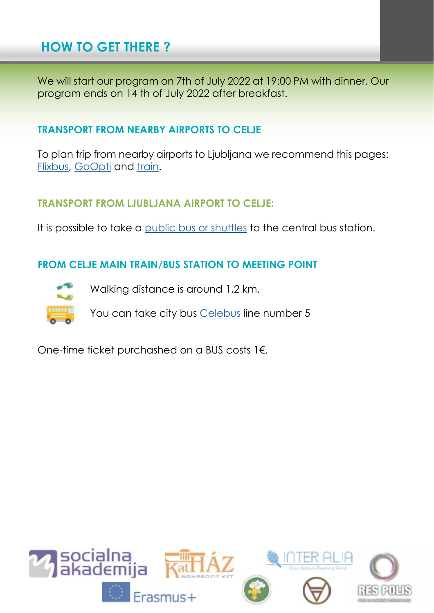# **HOW TO GET THERE ?**

We will start our program on 7th of July 2022 at 19:00 PM with dinner. Our program ends on 14 th of July 2022 after breakfast.

### **TRANSPORT FROM NEARBY AIRPORTS TO CELJE**

To plan trip from nearby airports to Ljubljana we recommend this pages: [Flixbus](https://www.flixbus.com/), [GoOpti](https://www.goopti.com/en/) and [train.](https://reiseauskunft.bahn.de/bin/query.exe/en?revia=yes&existOptimizePrice-deactivated=1&country=GBR&dbkanal_007=L04_S02_D002_KIN0059_qf-bahn-svb-kl2_lz03&start=1&protocol=https%3A&S=&REQ0JourneyStopsSID=&Z=&REQ0JourneyStopsZID=&date=Mon%2C%2008.06.20&time=11%3A02×el=depart&returnDate=&returnTime=&returnTimesel=depart&optimize=0&auskunft_travelers_number=1&tariffTravellerType.1=E&tariffTravellerReductionClass.1=0&tariffClass=2&rtMode=DB-HYBRID&externRequest=yes&HWAI=JS!js%3Dyes!ajax%3Dyes!&fbclid=IwAR0WYHbtEa0kyENFcKKLkV_H2DgoHeGC-whFayVTcOOqUZPZ8E_upitxq58)

### **TRANSPORT FROM LJUBLJANA AIRPORT TO CELJE:**

It is possible to take a public bus or shuttles to the central bus station.

## **FROM CELJE MAIN TRAIN/BUS STATION TO MEETING POINT**



Walking distance is around 1,2 km.

You can take city bus [Celebus](https://www.celje.info/aktualno/celebus-zapeljal-na-celjske-ulice-vozni-red-linije-cene-vozovnic-foto/) line number 5

One-time ticket purchashed on a BUS costs 1€.

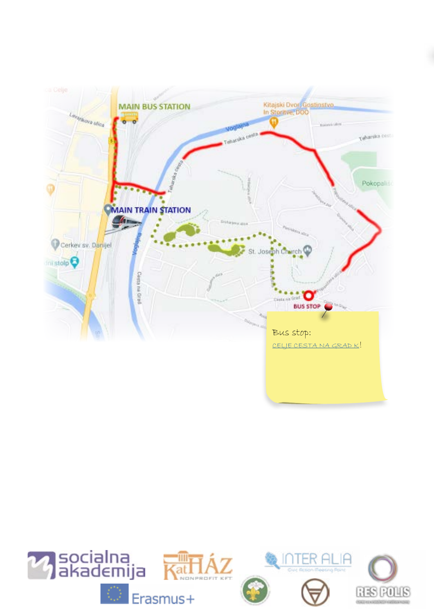

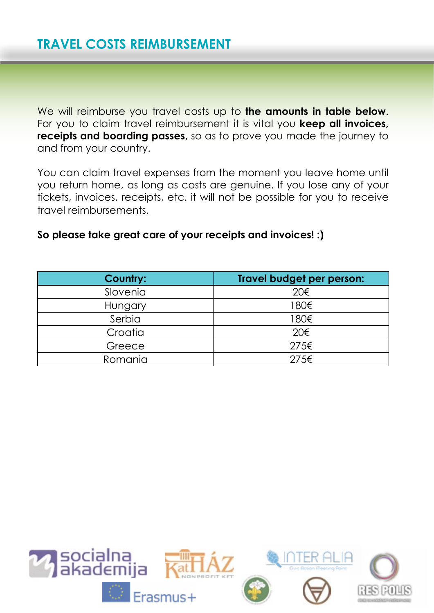We will reimburse you travel costs up to **the amounts in table below**. For you to claim travel reimbursement it is vital you **keep all invoices, receipts and boarding passes**, so as to prove you made the journey to and from your country.

You can claim travel expenses from the moment you leave home until you return home, as long as costs are genuine. If you lose any of your tickets, invoices, receipts, etc. it will not be possible for you to receive travel reimbursements.

#### **So please take great care of your receipts and invoices! :)**

| <b>Country:</b> | Travel budget per person: |
|-----------------|---------------------------|
| Slovenia        | 20€                       |
| Hungary         | 180€                      |
| Serbia          | 180€                      |
| Croatia         | 20€                       |
| Greece          | 275€                      |
| Romania         | 275€                      |

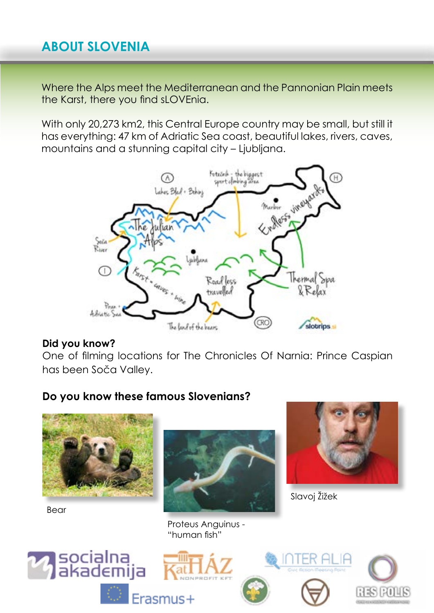# **ABOUT SLOVENIA**

Where the Alps meet the Mediterranean and the Pannonian Plain meets the Karst, there you find sLOVEnia.

With only 20,273 km2, this Central Europe country may be small, but still it has everything: 47 km of Adriatic Sea coast, beautiful lakes, rivers, caves, mountains and a stunning capital city – Ljubljana.



#### **Did you know?**

One of filming locations for The Chronicles Of Narnia: Prince Caspian has been Soča Valley.

# **Do you know these famous Slovenians?**



Bear







## Slavoj Žižek



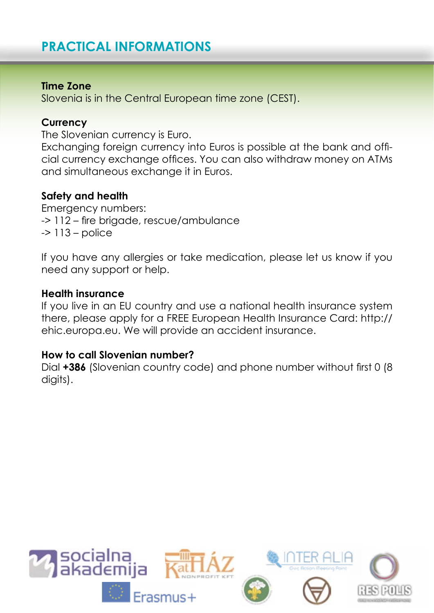# **PRACTICAL INFORMATIONS**

#### **Time Zone**

Slovenia is in the Central European time zone (CEST).

#### **Currency**

The Slovenian currency is Euro.

Exchanging foreign currency into Euros is possible at the bank and official currency exchange offices. You can also withdraw money on ATMs and simultaneous exchange it in Euros.

#### **Safety and health**

Emergency numbers: -> 112 – fire brigade, rescue/ambulance  $-$  113 – police

If you have any allergies or take medication, please let us know if you need any support or help.

#### **Health insurance**

If you live in an EU country and use a national health insurance system there, please apply for a FREE European Health Insurance Card: http:// ehic.europa.eu. We will provide an accident insurance.

#### **How to call Slovenian number?**

Dial **+386** (Slovenian country code) and phone number without first 0 (8 digits).

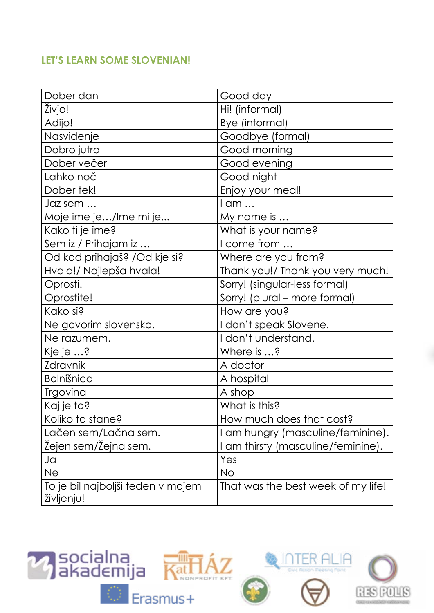## **LET'S LEARN SOME SLOVENIAN!**

| Dober dan                         | Good day                           |
|-----------------------------------|------------------------------------|
| Živjo!                            | Hi! (informal)                     |
| Adijo!                            | Bye (informal)                     |
| Nasvidenje                        | Goodbye (formal)                   |
| Dobro jutro                       | Good morning                       |
| Dober večer                       | Good evening                       |
| Lahko noč                         | Good night                         |
| Dober tek!                        | Enjoy your meal!                   |
| Jaz sem                           | I am                               |
| Moje ime je/Ime mi je             | My name is                         |
| Kako ti je ime?                   | What is your name?                 |
| Sem iz / Prihajam iz              | I come from                        |
| Od kod prihajaš? /Od kje si?      | Where are you from?                |
| Hvala!/ Najlepša hvala!           | Thank you!/ Thank you very much!   |
| Oprosti!                          | Sorry! (singular-less formal)      |
| Oprostite!                        | Sorry! (plural – more formal)      |
| Kako si?                          | How are you?                       |
| Ne govorim slovensko.             | I don't speak Slovene.             |
| Ne razumem.                       | I don't understand.                |
| Kje je ?                          | Where is ?                         |
| Zdravnik                          | A doctor                           |
| <b>Bolnišnica</b>                 | A hospital                         |
| Trgovina                          | A shop                             |
| Kaj je to?                        | What is this?                      |
| Koliko to stane?                  | How much does that cost?           |
| Lačen sem/Lačna sem.              | I am hungry (masculine/feminine).  |
| Zejen sem/Zejna sem.              | I am thirsty (masculine/feminine). |
| Ja                                | Yes                                |
| <b>Ne</b>                         | <b>No</b>                          |
| To je bil najboljši teden v mojem | That was the best week of my life! |
| življenju!                        |                                    |

NPROFIT KFT